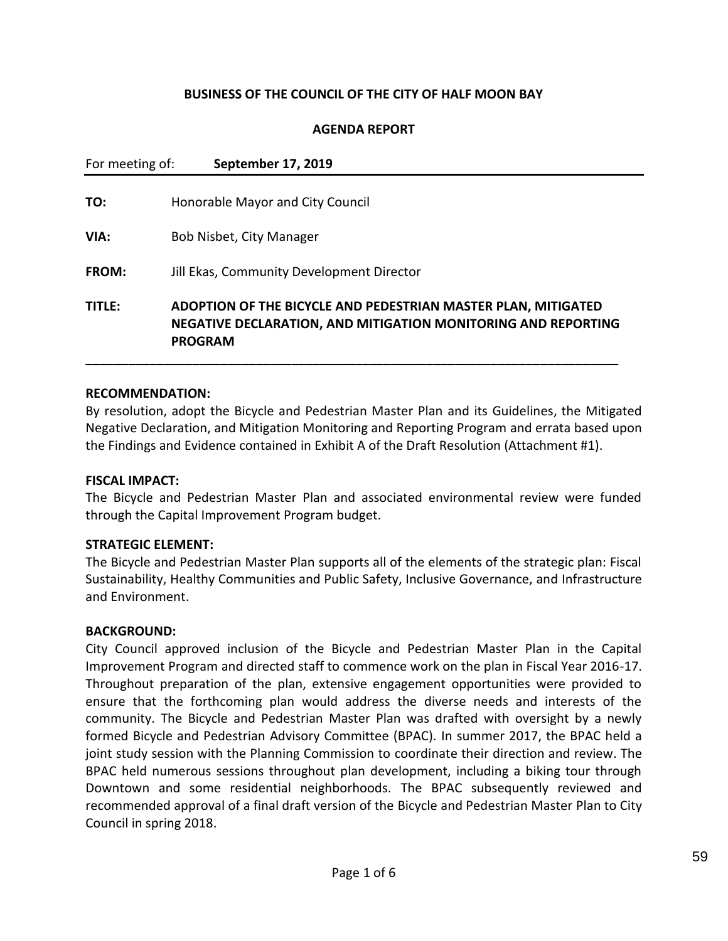### **BUSINESS OF THE COUNCIL OF THE CITY OF HALF MOON BAY**

#### **AGENDA REPORT**

| For meeting of: | September 17, 2019                                                                                                                                      |
|-----------------|---------------------------------------------------------------------------------------------------------------------------------------------------------|
| TO:             | Honorable Mayor and City Council                                                                                                                        |
| VIA:            | Bob Nisbet, City Manager                                                                                                                                |
| <b>FROM:</b>    | Jill Ekas, Community Development Director                                                                                                               |
| TITLE:          | ADOPTION OF THE BICYCLE AND PEDESTRIAN MASTER PLAN, MITIGATED<br><b>NEGATIVE DECLARATION, AND MITIGATION MONITORING AND REPORTING</b><br><b>PROGRAM</b> |

#### **RECOMMENDATION:**

By resolution, adopt the Bicycle and Pedestrian Master Plan and its Guidelines, the Mitigated Negative Declaration, and Mitigation Monitoring and Reporting Program and errata based upon the Findings and Evidence contained in Exhibit A of the Draft Resolution (Attachment #1).

#### **FISCAL IMPACT:**

The Bicycle and Pedestrian Master Plan and associated environmental review were funded through the Capital Improvement Program budget.

#### **STRATEGIC ELEMENT:**

The Bicycle and Pedestrian Master Plan supports all of the elements of the strategic plan: Fiscal Sustainability, Healthy Communities and Public Safety, Inclusive Governance, and Infrastructure and Environment.

#### **BACKGROUND:**

City Council approved inclusion of the Bicycle and Pedestrian Master Plan in the Capital Improvement Program and directed staff to commence work on the plan in Fiscal Year 2016-17. Throughout preparation of the plan, extensive engagement opportunities were provided to ensure that the forthcoming plan would address the diverse needs and interests of the community. The Bicycle and Pedestrian Master Plan was drafted with oversight by a newly formed Bicycle and Pedestrian Advisory Committee (BPAC). In summer 2017, the BPAC held a joint study session with the Planning Commission to coordinate their direction and review. The BPAC held numerous sessions throughout plan development, including a biking tour through Downtown and some residential neighborhoods. The BPAC subsequently reviewed and recommended approval of a final draft version of the Bicycle and Pedestrian Master Plan to City Council in spring 2018.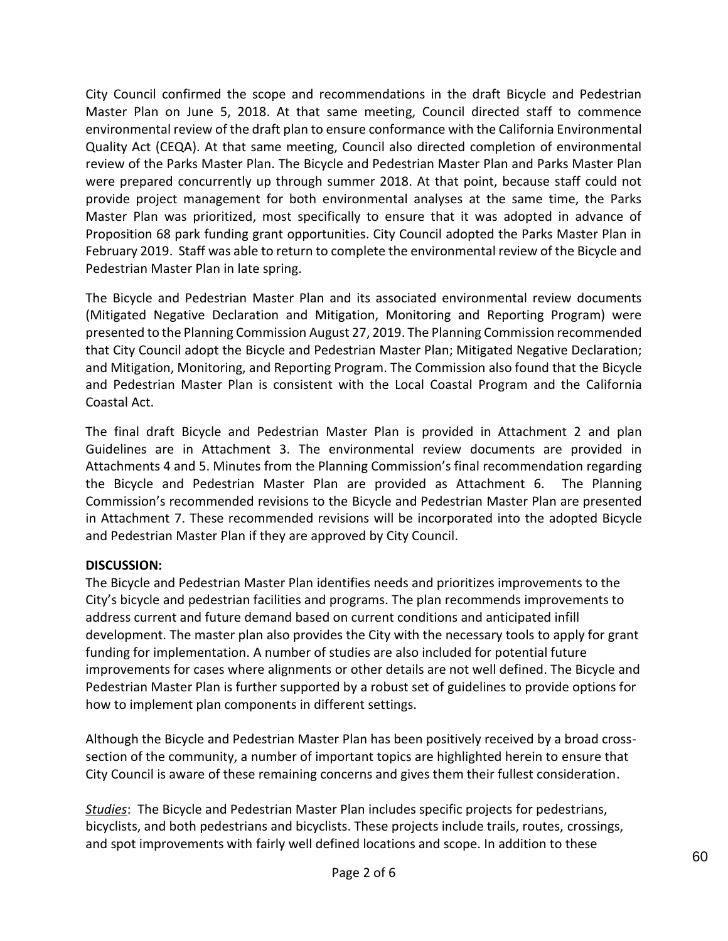City Council confirmed the scope and recommendations in the draft Bicycle and Pedestrian Master Plan on June 5, 2018. At that same meeting, Council directed staff to commence environmental review of the draft plan to ensure conformance with the California Environmental Quality Act (CEQA). At that same meeting, Council also directed completion of environmental review of the Parks Master Plan. The Bicycle and Pedestrian Master Plan and Parks Master Plan were prepared concurrently up through summer 2018. At that point, because staff could not provide project management for both environmental analyses at the same time, the Parks Master Plan was prioritized, most specifically to ensure that it was adopted in advance of Proposition 68 park funding grant opportunities. City Council adopted the Parks Master Plan in February 2019. Staff was able to return to complete the environmental review of the Bicycle and Pedestrian Master Plan in late spring.

The Bicycle and Pedestrian Master Plan and its associated environmental review documents (Mitigated Negative Declaration and Mitigation, Monitoring and Reporting Program) were presented to the Planning Commission August 27, 2019. The Planning Commission recommended that City Council adopt the Bicycle and Pedestrian Master Plan; Mitigated Negative Declaration; and Mitigation, Monitoring, and Reporting Program. The Commission also found that the Bicycle and Pedestrian Master Plan is consistent with the Local Coastal Program and the California Coastal Act.

The final draft Bicycle and Pedestrian Master Plan is provided in Attachment 2 and plan Guidelines are in Attachment 3. The environmental review documents are provided in Attachments 4 and 5. Minutes from the Planning Commission's final recommendation regarding the Bicycle and Pedestrian Master Plan are provided as Attachment 6. The Planning Commission's recommended revisions to the Bicycle and Pedestrian Master Plan are presented in Attachment 7. These recommended revisions will be incorporated into the adopted Bicycle and Pedestrian Master Plan if they are approved by City Council.

### **DISCUSSION:**

The Bicycle and Pedestrian Master Plan identifies needs and prioritizes improvements to the City's bicycle and pedestrian facilities and programs. The plan recommends improvements to address current and future demand based on current conditions and anticipated infill development. The master plan also provides the City with the necessary tools to apply for grant funding for implementation. A number of studies are also included for potential future improvements for cases where alignments or other details are not well defined. The Bicycle and Pedestrian Master Plan is further supported by a robust set of guidelines to provide options for how to implement plan components in different settings.

Although the Bicycle and Pedestrian Master Plan has been positively received by a broad crosssection of the community, a number of important topics are highlighted herein to ensure that City Council is aware of these remaining concerns and gives them their fullest consideration.

*Studies*: The Bicycle and Pedestrian Master Plan includes specific projects for pedestrians, bicyclists, and both pedestrians and bicyclists. These projects include trails, routes, crossings, and spot improvements with fairly well defined locations and scope. In addition to these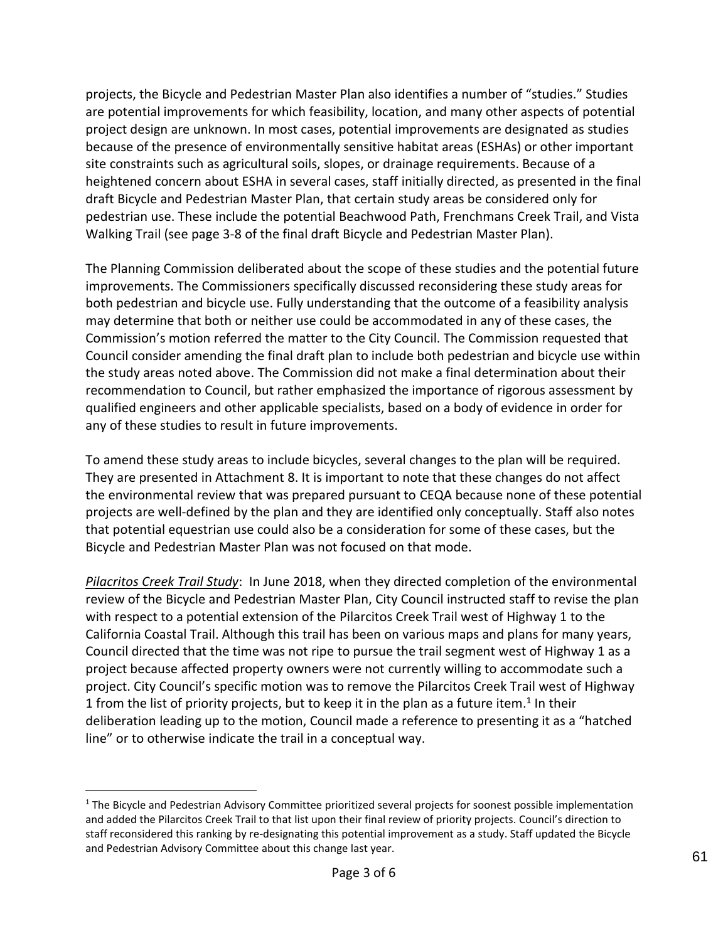projects, the Bicycle and Pedestrian Master Plan also identifies a number of "studies." Studies are potential improvements for which feasibility, location, and many other aspects of potential project design are unknown. In most cases, potential improvements are designated as studies because of the presence of environmentally sensitive habitat areas (ESHAs) or other important site constraints such as agricultural soils, slopes, or drainage requirements. Because of a heightened concern about ESHA in several cases, staff initially directed, as presented in the final draft Bicycle and Pedestrian Master Plan, that certain study areas be considered only for pedestrian use. These include the potential Beachwood Path, Frenchmans Creek Trail, and Vista Walking Trail (see page 3-8 of the final draft Bicycle and Pedestrian Master Plan).

The Planning Commission deliberated about the scope of these studies and the potential future improvements. The Commissioners specifically discussed reconsidering these study areas for both pedestrian and bicycle use. Fully understanding that the outcome of a feasibility analysis may determine that both or neither use could be accommodated in any of these cases, the Commission's motion referred the matter to the City Council. The Commission requested that Council consider amending the final draft plan to include both pedestrian and bicycle use within the study areas noted above. The Commission did not make a final determination about their recommendation to Council, but rather emphasized the importance of rigorous assessment by qualified engineers and other applicable specialists, based on a body of evidence in order for any of these studies to result in future improvements.

To amend these study areas to include bicycles, several changes to the plan will be required. They are presented in Attachment 8. It is important to note that these changes do not affect the environmental review that was prepared pursuant to CEQA because none of these potential projects are well-defined by the plan and they are identified only conceptually. Staff also notes that potential equestrian use could also be a consideration for some of these cases, but the Bicycle and Pedestrian Master Plan was not focused on that mode.

*Pilacritos Creek Trail Study*: In June 2018, when they directed completion of the environmental review of the Bicycle and Pedestrian Master Plan, City Council instructed staff to revise the plan with respect to a potential extension of the Pilarcitos Creek Trail west of Highway 1 to the California Coastal Trail. Although this trail has been on various maps and plans for many years, Council directed that the time was not ripe to pursue the trail segment west of Highway 1 as a project because affected property owners were not currently willing to accommodate such a project. City Council's specific motion was to remove the Pilarcitos Creek Trail west of Highway 1 from the list of priority projects, but to keep it in the plan as a future item.<sup>1</sup> In their deliberation leading up to the motion, Council made a reference to presenting it as a "hatched line" or to otherwise indicate the trail in a conceptual way.

 $1$  The Bicycle and Pedestrian Advisory Committee prioritized several projects for soonest possible implementation and added the Pilarcitos Creek Trail to that list upon their final review of priority projects. Council's direction to staff reconsidered this ranking by re-designating this potential improvement as a study. Staff updated the Bicycle and Pedestrian Advisory Committee about this change last year. 61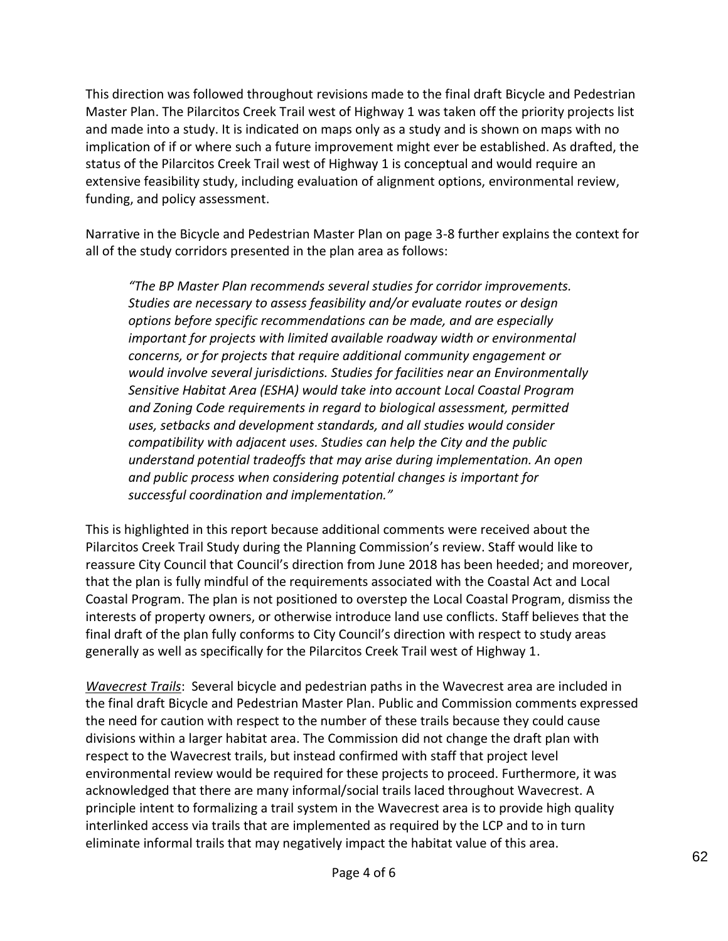This direction was followed throughout revisions made to the final draft Bicycle and Pedestrian Master Plan. The Pilarcitos Creek Trail west of Highway 1 was taken off the priority projects list and made into a study. It is indicated on maps only as a study and is shown on maps with no implication of if or where such a future improvement might ever be established. As drafted, the status of the Pilarcitos Creek Trail west of Highway 1 is conceptual and would require an extensive feasibility study, including evaluation of alignment options, environmental review, funding, and policy assessment.

Narrative in the Bicycle and Pedestrian Master Plan on page 3-8 further explains the context for all of the study corridors presented in the plan area as follows:

*"The BP Master Plan recommends several studies for corridor improvements. Studies are necessary to assess feasibility and/or evaluate routes or design options before specific recommendations can be made, and are especially important for projects with limited available roadway width or environmental concerns, or for projects that require additional community engagement or would involve several jurisdictions. Studies for facilities near an Environmentally Sensitive Habitat Area (ESHA) would take into account Local Coastal Program and Zoning Code requirements in regard to biological assessment, permitted uses, setbacks and development standards, and all studies would consider compatibility with adjacent uses. Studies can help the City and the public understand potential tradeoffs that may arise during implementation. An open and public process when considering potential changes is important for successful coordination and implementation."*

This is highlighted in this report because additional comments were received about the Pilarcitos Creek Trail Study during the Planning Commission's review. Staff would like to reassure City Council that Council's direction from June 2018 has been heeded; and moreover, that the plan is fully mindful of the requirements associated with the Coastal Act and Local Coastal Program. The plan is not positioned to overstep the Local Coastal Program, dismiss the interests of property owners, or otherwise introduce land use conflicts. Staff believes that the final draft of the plan fully conforms to City Council's direction with respect to study areas generally as well as specifically for the Pilarcitos Creek Trail west of Highway 1.

*Wavecrest Trails*: Several bicycle and pedestrian paths in the Wavecrest area are included in the final draft Bicycle and Pedestrian Master Plan. Public and Commission comments expressed the need for caution with respect to the number of these trails because they could cause divisions within a larger habitat area. The Commission did not change the draft plan with respect to the Wavecrest trails, but instead confirmed with staff that project level environmental review would be required for these projects to proceed. Furthermore, it was acknowledged that there are many informal/social trails laced throughout Wavecrest. A principle intent to formalizing a trail system in the Wavecrest area is to provide high quality interlinked access via trails that are implemented as required by the LCP and to in turn eliminate informal trails that may negatively impact the habitat value of this area.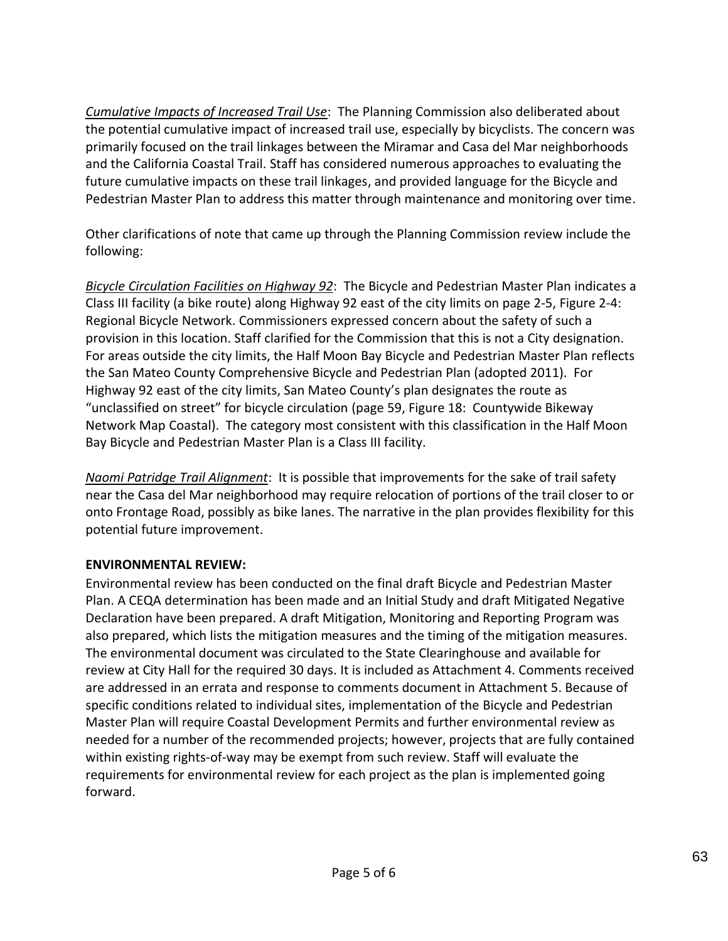*Cumulative Impacts of Increased Trail Use*: The Planning Commission also deliberated about the potential cumulative impact of increased trail use, especially by bicyclists. The concern was primarily focused on the trail linkages between the Miramar and Casa del Mar neighborhoods and the California Coastal Trail. Staff has considered numerous approaches to evaluating the future cumulative impacts on these trail linkages, and provided language for the Bicycle and Pedestrian Master Plan to address this matter through maintenance and monitoring over time.

Other clarifications of note that came up through the Planning Commission review include the following:

*Bicycle Circulation Facilities on Highway 92*: The Bicycle and Pedestrian Master Plan indicates a Class III facility (a bike route) along Highway 92 east of the city limits on page 2-5, Figure 2-4: Regional Bicycle Network. Commissioners expressed concern about the safety of such a provision in this location. Staff clarified for the Commission that this is not a City designation. For areas outside the city limits, the Half Moon Bay Bicycle and Pedestrian Master Plan reflects the San Mateo County Comprehensive Bicycle and Pedestrian Plan (adopted 2011). For Highway 92 east of the city limits, San Mateo County's plan designates the route as "unclassified on street" for bicycle circulation (page 59, Figure 18: Countywide Bikeway Network Map Coastal). The category most consistent with this classification in the Half Moon Bay Bicycle and Pedestrian Master Plan is a Class III facility.

*Naomi Patridge Trail Alignment*: It is possible that improvements for the sake of trail safety near the Casa del Mar neighborhood may require relocation of portions of the trail closer to or onto Frontage Road, possibly as bike lanes. The narrative in the plan provides flexibility for this potential future improvement.

### **ENVIRONMENTAL REVIEW:**

Environmental review has been conducted on the final draft Bicycle and Pedestrian Master Plan. A CEQA determination has been made and an Initial Study and draft Mitigated Negative Declaration have been prepared. A draft Mitigation, Monitoring and Reporting Program was also prepared, which lists the mitigation measures and the timing of the mitigation measures. The environmental document was circulated to the State Clearinghouse and available for review at City Hall for the required 30 days. It is included as Attachment 4. Comments received are addressed in an errata and response to comments document in Attachment 5. Because of specific conditions related to individual sites, implementation of the Bicycle and Pedestrian Master Plan will require Coastal Development Permits and further environmental review as needed for a number of the recommended projects; however, projects that are fully contained within existing rights-of-way may be exempt from such review. Staff will evaluate the requirements for environmental review for each project as the plan is implemented going forward.